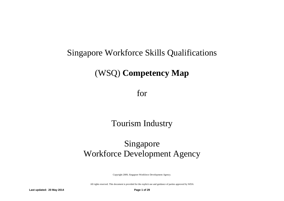# Singapore Workforce Skills Qualifications

# (WSQ) **Competency Map**

for

# Tourism Industry

# Singapore Workforce Development Agency

Copyright 2009, Singapore Workforce Development Agency.

All rights reserved. This document is provided for the explicit use and guidance of parties approved by WDA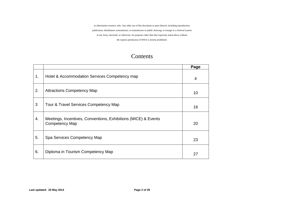as information resource only. Any other use of this document or parts thereof, including reproduction, publication, distribution, transmission, re-transmission or public showing, or storage in a retrieval system in any form, electronic or otherwise, for purposes other than that expressly stated above without the express permission of WDA is strictly prohibited.

## Contents

|    |                                                                                         | Page |
|----|-----------------------------------------------------------------------------------------|------|
| 1. | Hotel & Accommodation Services Competency map                                           | 4    |
| 2. | <b>Attractions Competency Map</b>                                                       | 10   |
| 3  | Tour & Travel Services Competency Map                                                   | 16   |
| 4. | Meetings, Incentives, Conventions, Exhibitions (MICE) & Events<br><b>Competency Map</b> | 20   |
| 5. | Spa Services Competency Map                                                             | 23   |
| 6. | Diploma in Tourism Competency Map                                                       | 27   |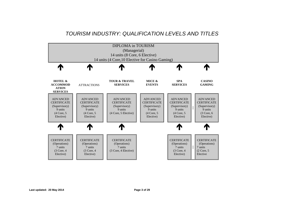## *TOURISM INDUSTRY: QUALIFICATION LEVELS AND TITLES*

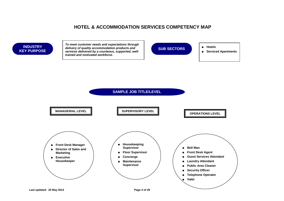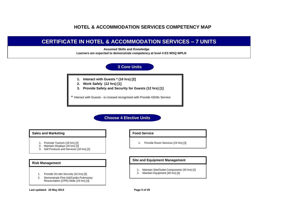## **CERTIFICATE IN HOTEL & ACCOMMODATION SERVICES – 7 UNITS**

 **Assumed Skills and Knowledge**

**Learners are expected to demonstrate competency at level 4 ES WSQ WPLN**

### **3 Core Units**

- **1. Interact with Guests \* (16 hrs) [2]**
- **2. Work Safely (12 hrs) [1]**
- **3. Provide Safety and Security for Guests (12 hrs) [1]**

\* Interact with Guests - is crossed recognised with Provide GEMs Service

**Choose 4 Elective Units**

#### **Sales and Marketing**

- 1. Promote Tourism (16 hrs) [2]
- 2. Maintain Displays (16 hrs) [2]
- 3. Sell Products and Services (16 hrs) [2]

#### **Risk Management**

- 1. Provide On-site Security (32 hrs) [3]
- 2. Demonstrate First Aid/Cardio-Pulmonary Resuscitation (CPR) Skills (24 hrs) [3]

#### **Food Service**

1. Provide Room Services (24 hrs) [3]

#### **Site and Equipment Management**

- 1. Maintain Site/Outlet Components (20 hrs) [2]
- 2. Maintain Equipment (40 hrs) [4]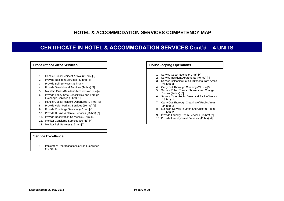## **CERTIFICATE IN HOTEL & ACCOMMODATION SERVICES Cont'd – 4 UNITS**



#### **Service Excellence**

1. Implement Operations for Service Excellence (16 hrs) [2]

| <b>Housekeeping Operations</b> |                                                                         |  |  |  |  |
|--------------------------------|-------------------------------------------------------------------------|--|--|--|--|
|                                |                                                                         |  |  |  |  |
|                                | 1. Service Guest Rooms (40 hrs) [4]                                     |  |  |  |  |
| 2.                             | Service Resident Apartments (40 hrs) [4]                                |  |  |  |  |
| 3.                             | Service Balconies/Patios, Kitchens/Yard Areas<br>$(24 \text{ hrs})$ [3] |  |  |  |  |
|                                | 4. Carry Out Thorough Cleaning (24 hrs) [3]                             |  |  |  |  |
|                                | 5. Service Public Toilets. Showers and Change<br>Rooms (24 hrs) [3]     |  |  |  |  |
| ჩ —                            | Service Other Public Areas and Back of House<br>$(16 \text{ hrs})$ [2]  |  |  |  |  |
|                                | 7. Carry Out Thorough Cleaning of Public Areas<br>$(24$ hrs $)$ [3]     |  |  |  |  |
|                                | 8. Maintain Service in Linen and Uniform Room<br>$(15 \text{ hrs})$ [2] |  |  |  |  |
|                                | 9. Provide Laundry Room Services (15 hrs) [2]                           |  |  |  |  |
|                                | 10. Provide Laundry Valet Services (40 hrs) [4]                         |  |  |  |  |
|                                |                                                                         |  |  |  |  |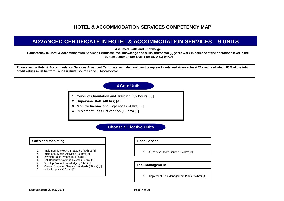## **ADVANCED CERTIFICATE IN HOTEL & ACCOMMODATION SERVICES – 9 UNITS**

**Assumed Skills and Knowledge**

**Competency in Hotel & Accommodation Services Certificate level knowledge and skills and/or two (2) years work experience at the operations level in the Tourism sector and/or level 6 for ES WSQ WPLN**

**To receive the Hotel & Accommodation Services Advanced Certificate, an individual must complete 9 units and attain at least 21 credits of which 80% of the total credit values must be from Tourism Units, source code TH-xxx-xxxx-x**

### **4 Core Units**

- **1. Conduct Orientation and Training (32 hours) [3]**
- **2. Supervise Staff (40 hrs) [4]**
- **3. Monitor Income and Expenses (24 hrs) [3]**
- **4. Implement Loss Prevention (10 hrs) [1]**

### **Choose 5 Elective Units**

#### **Sales and Marketing**

- 1. Implement Marketing Strategies (40 hrs) [4]
- 2. Implement Media Activities (20 hrs) [2]<br>3. Develop Sales Proposal (40 hrs) [4]
- 3. Develop Sales Proposal (40 hrs) [4]<br>4. Sell Banquets/Catering Events (40 hr
- 4. Sell Banquets/Catering Events (40 hrs) [4]
- 5. Develop Product Knowledge (10 hrs) [1]
- 6. Monitor Customer Service Standards (30 hrs) [3]
- 7. Write Proposal (20 hrs) [2]

#### **Food Service**

1. Supervise Room Service (24 hrs) [3]

#### **Risk Management**

1. Implement Risk Management Plans (24 hrs) [3]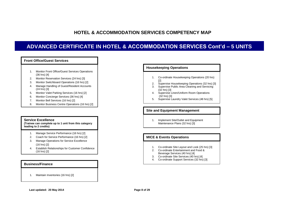## **ADVANCED CERTIFICATE IN HOTEL & ACCOMMODATION SERVICES Cont'd – 5 UNITS**



#### **Service Excellence**

**(Trainee can complete up to 1 unit from this category leading to 2 credits)**

- 1. Manage Service Performance (16 hrs) [2]
- 2. Coach for Service Performance (16 hrs) [2]
- 3. Manage Operations for Service Excellence (16 hrs) [2]
- 4. Establish Relationships for Customer Confidence (16 hrs) [2]

#### **Business/Finance**

1. Maintain Inventories (16 hrs) [2]

#### **Housekeeping Operations**

- 1. Co-ordinate Housekeeping Operations (20 hrs) [2]
- 2. Supervise Housekeeping Operations (32 hrs) [3]
- 3. Supervise Public Area Cleaning and Servicing (32 hrs) [3]
- 4. Supervise Linen/Uniform Room Operations (32 hrs) [3]
- 5. Supervise Laundry Valet Services (48 hrs) [5]

#### **Site and Equipment Management**

1. Implement Site/Outlet and Equipment Maintenance Plans (32 hrs) [3]

#### **MICE & Events Operations**

- 1. Co-ordinate Site Layout and Look (25 hrs) [3]
- 2. Co-ordinate Entertainment and Food & Beverage Services (40 hrs) [4]
- 3. Co-ordinate Site Services (40 hrs) [4]
- 4. Co-ordinate Support Services (32 hrs) [3]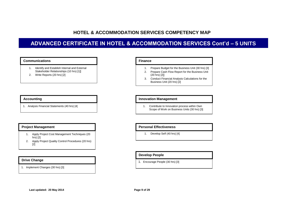## **ADVANCED CERTIFICATE IN HOTEL & ACCOMMODATION SERVICES Cont'd – 5 UNITS**

#### **Communications Finance**

- 1. Identify and Establish Internal and External Stakeholder Relationships (10 hrs) [1]]
- 2. Write Reports (20 hrs) [2]

#### **Accounting**

1. Analysis Financial Statements (40 hrs) [4]

#### **Project Management**

- 1. Apply Project Cost Management Techniques (20 hrs) [2]
- 2. Apply Project Quality Control Procedures (20 hrs) [2]

#### **Drive Change**

1. Implement Changes (30 hrs) [3]

- 1. Prepare Budget for the Business Unit (30 hrs) [3]
- 2. Prepare Cash Flow Report for the Business Unit (20 hrs) [2]]
- 3. Conduct Financial Analysis Calculations for the Business Unit (20 hrs) [2]

#### **Innovation Management**

1. Contribute to Innovation process within Own Scope of Work on Business Units (30 hrs) [3]

#### **Personal Effectiveness**

1. Develop Self (40 hrs) [4]

#### **Develop People**

1. Encourage People (30 hrs) [3]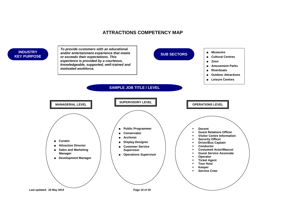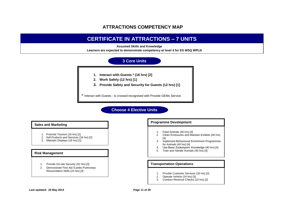## **CERTIFICATE IN ATTRACTIONS – 7 UNITS**

 **Assumed Skills and Knowledge**

**Learners are expected to demonstrate competency at level 4 for ES WSQ WPLN**



### **Choose 4 Elective Units**

#### **Sales and Marketing**

- 1. Promote Tourism (16 hrs) [2)
- 2. Sell Products and Services (16 hrs) [2]
- 3. Maintain Displays (16 hrs) [1]

#### **Risk Management**

- 1. Provide On-site Security (32 hrs) [3]
- 2. Demonstrate First Aid /Cardio-Pulmonary Resuscitation Skills (24 hrs) [3]

#### **Programme Development**

- 1. Feed Animals (40 hrs) [4]
- 2. Clean Enclosures and Maintain Exhibits (40 hrs) [4]
- 3. Implement Behavioural Enrichment Programmes for Animals (40 hrs) [4]
- 4. Use Basic Zookeepers' Knowledge (40 hrs) [4]
- 5. Train and Handle Animals (40 hrs) [4]

#### **Transportation Operations**

- 1. Provide Customer Services (16 hrs) [2]
- 2. Operate Vehicle (24 hrs) [3]
- 3. Conduct Revenue Checks (15 hrs) [2]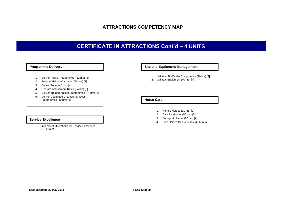## **CERTIFICATE IN ATTRACTIONS Cont'd – 4 UNITS**

#### **Programme Delivery**

- 1. Deliver Public Programmes (32 hrs) [3]
- 2. Provide Visitor Information (24 hrs) [3]
- 3. Deliver Tours (40 hrs) [4]
- 4. Operate Amusement Rides (24 hrs) [3]
- 5. Deliver Trained Animal Programmes (24 hrs) [3]
- 6. Deliver Costumed Character/Mascot Programmes (40 hrs) [4]

#### **Service Excellence**

1. Implement Operations for Service Excellence  $(16 \text{ hrs})$   $[2]$ 

1. December 1. December 1. December 1. December 1. December 1. December 1. December 1. December 1. December 1

#### **Site and Equipment Management**

- 1. Maintain Site/Outlet Components (20 hrs) [2]
- 2. Maintain Equipment (40 hrs) [4]

#### **Horse Care**

- 1. Handle Horses (20 hrs) [2]
- 2. Care for Horses (50 hrs) [5]
- 3. Transport Horses (20 hrs) [2]
- 4. Ride Horses for Exercises (40 hrs) [4]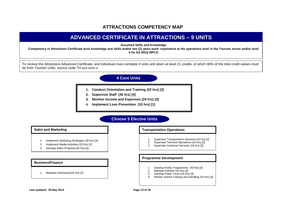## **ADVANCED CERTIFICATE IN ATTRACTIONS – 9 UNITS**

**Assumed Skills and Knowledge**

**Competency in Attractions Certificate level knowledge and skills and/or two (2) years work experience at the operations level in the Tourism sector and/or level 6 for ES WSQ WPLN**

To receive the Attractions Advanced Certificate, and individual must complete 9 units and attain at least 21 credits, of which 80% of the total credit values must be from Tourism Units, source code TH-xxx-xxxx-x

### **4 Core Units**

- **1. Conduct Orientation and Training (32 hrs) [3]**
- **2. Supervise Staff (40 hrs) [4]**
- **3. Monitor Income and Expenses (24 hrs) [3]**
- **4. Implement Loss Prevention (10 hrs) [1]**

### **Choose 5 Elective Units**

#### **Sales and Marketing**

- 1. Implement Marketing Strategies (40 hrs) [4]
- 2. Implement Media Activities (20 hrs) [2]
- 3. Develop Sales Proposal (40 hrs) [4]

#### **Business/Finance**

1. Maintain Inventories(16 hrs) [2]

#### **Transportation Operations**

- 1. Supervise Transportation Services (16 hrs) [2]
- 2. Supervise Terminal Operations (16 hrs) [2]
- 3. Supervise Customer Services (16 hrs) [2]

#### **Programme Development**

- 1. Develop Public Programmes (40 hrs) [4]
- 2. Maintain Exhibits (24 hrs) [3]
- 3. Develop Public Tours (24 hrs) [3]
- 4. Monitor Animal Training and Handling (24 hrs) [3]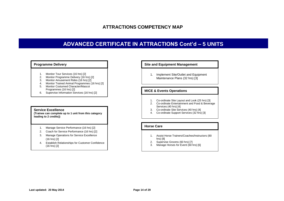## **ADVANCED CERTIFICATE IN ATTRACTIONS Cont'd – 5 UNITS**

#### **Programme Delivery**

- 1. Monitor Tour Services (16 hrs) [2]
- 2. Monitor Programme Delivery (16 hrs) [2]
- 3. Monitor Amusement Rides (16 hrs) [2]
- 4. Monitor Trained Animal Programmes (16 hrs) [2] 5. Monitor Costumed Character/Mascot
- Programmes (16 hrs) [2]
- 6. Supervise Information Services (16 hrs) [2]

#### **Service Excellence**

**(Trainee can complete up to 1 unit from this category leading to 2 credits))**

- 1. Manage Service Performance (16 hrs) [2]
- 2. Coach for Service Performance (16 hrs) [2]
- 3. Manage Operations for Service Excellence (16 hrs) [2]
- 4. Establish Relationships for Customer Confidence (16 hrs) [2]

#### **Site and Equipment Management**

1. Implement Site/Outlet and Equipment Maintenance Plans (32 hrs) [3]

#### **MICE & Events Operations**

- 1. Co-ordinate Site Layout and Look (25 hrs) [3]
- 2. Co-ordinate Entertainment and Food & Beverage Services (40 hrs) [4]
- 3. Co-ordinate Site Services (40 hrs) [4]
- 4. Co-ordinate Support Services (32 hrs) [3]

#### **Horse Care**

- 1. Assist Horse Trainers/Coaches/Instructors (80 hrs) [8]
- 2. Supervise Grooms (60 hrs) [7]<br>3. Manage Horses for Event (60 h
- Manage Horses for Event (60 hrs) [6]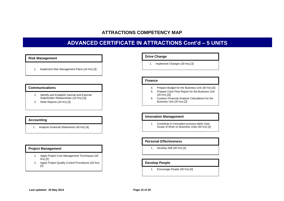## **ADVANCED CERTIFICATE IN ATTRACTIONS Cont'd – 5 UNITS**

#### **Risk Management**

1. Implement Risk Management Plans (24 hrs) [3]

#### **Communications**

- 1. Identify and Establish Internal and External Stakeholder Relationships (10 hrs) [1]]
- 2. Write Reports (20 hrs) [2]

#### **Accounting**

1. Analysis Financial Statements (40 hrs) [4]

#### **Project Management**

- 1. Apply Project Cost Management Techniques (20 hrs) $[2]$
- 2. Apply Project Quality Control Procedures (20 hrs) [2]

#### **Drive Change**

1. Implement Changes (30 hrs) [3]

#### **Finance**

- 4. Prepare Budget for the Business Unit (30 hrs) [3]
- 5. Prepare Cash Flow Report for the Business Unit (20 hrs) [2]]
- 6. Conduct Financial Analysis Calculations for the Business Unit (20 hrs) [2]

#### **Innovation Management**

1. Contribute to Innovation process within Own Scope of Work on Business Units (30 hrs) [3]

#### **Personal Effectiveness**

1. Develop Self (40 hrs) [4]

#### **Develop People**

1. Encourage People (30 hrs) [3]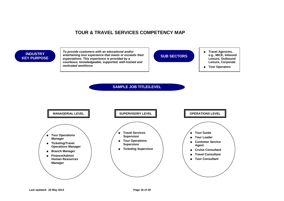### **INDUSTRY KEY PURPOSE**

*To provide customers with an educational and/or entertaining tour experience that meets or exceeds their expectations. This experience is provided by a courteous, knowledgeable, supported, well-trained and motivated workforce.*



- **Travel Agencies, e.g., MICE, Inbound Leisure, Outbound Leisure, Corporate**
- **Tour Operators**

**SAMPLE JOB TITLE/LEVEL**

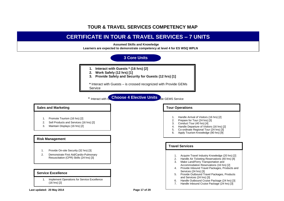

#### **Last updated: 20 May 2014 Page 17 of 29**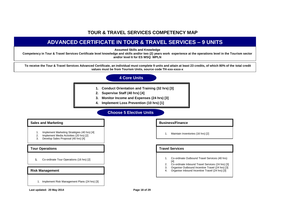## **ADVANCED CERTIFICATE IN TOUR & TRAVEL SERVICES – 9 UNITS**

**Assumed Skills and Knowledge**

**Competency in Tour & Travel Services Certificate level knowledge and skills and/or two (2) years work experience at the operations level in the Tourism sector and/or level 6 for ES WSQ WPLN**

**To receive the Tour & Travel Services Advanced Certificate, an individual must complete 9 units and attain at least 23 credits, of which 80% of the total credit values must be from Tourism Units, source code TH-xxx-xxxx-x**

### **4 Core Units**

- **1. Conduct Orientation and Training (32 hrs) [3]**
- **2. Supervise Staff (40 hrs) [4]**
- **3. Monitor Income and Expenses (24 hrs) [3]**
- **4. Implement Loss Prevention (10 hrs) [1]**

### **Choose 5 Elective Units**

#### **Sales and Marketing**

- 1. Implement Marketing Stratégies (40 hrs) [4]<br>2. Implement Media Activities (20 hrs) [2]
- 2. Implement Media Activities (20 hrs) [2]<br>3. Develop Sales Proposal (40 hrs) [4]
- Develop Sales Proposal (40 hrs) [4]

#### **Tour Operations**

**1.** Co-ordinate Tour Operations (16 hrs) [2]

#### **Risk Management**

1. Implement Risk Management Plans (24 hrs) [3]

#### **Business/Finance**

1. Maintain Inventories (16 hrs) [2]

#### **Travel Services**

- 1. Co-ordinate Outbound Travel Services (40 hrs) [4]
- 2. Co-ordinate Inbound Travel Services (24 hrs) [3]
- 3. Organise Outbound Incentive Travel (24 hrs) [3]
- 4. Organise Inbound Incentive Travel (24 hrs) [3]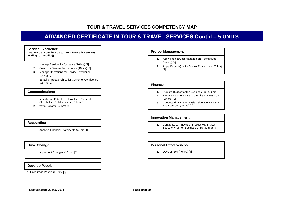## **ADVANCED CERTIFICATE IN TOUR & TRAVEL SERVICES Cont'd – 5 UNITS**

#### **Service Excellence**

**(Trainee can complete up to 1 unit from this category leading to 2 credits))**

- 1. Manage Service Performance (16 hrs) [2]
- 2. Coach for Service Performance (16 hrs) [2]
- 3. Manage Operations for Service Excellence (16 hrs) [2]
- 4. Establish Relationships for Customer Confidence (16 hrs) [2]

#### **Communications**

- 1. Identify and Establish Internal and External Stakeholder Relationships (10 hrs) [1]
- 2. Write Reports (20 hrs) [2]

#### **Accounting**

1. Analysis Financial Statements (40 hrs) [4]

#### **Drive Change**

1. Implement Changes (30 hrs) [3]

#### **Develop People**

1. Encourage People (30 hrs) [3]

#### **Project Management**

- 1. Apply Project Cost Management Techniques (20 hrs) [2]
- 2. Apply Project Quality Control Procedures (20 hrs)  $[2]$

#### **Finance**

- 1. Prepare Budget for the Business Unit (30 hrs) [3]
- 2. Prepare Cash Flow Report for the Business Unit (20 hrs) [2]]
- 3. Conduct Financial Analysis Calculations for the Business Unit (20 hrs) [2]

#### **Innovation Management**

1. Contribute to Innovation process within Own Scope of Work on Business Units (30 hrs) [3]

#### **Personal Effectiveness**

1. Develop Self (40 hrs) [4]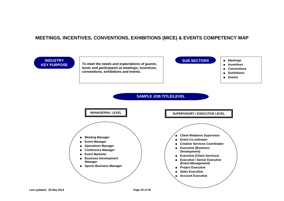## **MEETINGS, INCENTIVES, CONVENTIONS, EXHIBITIONS (MICE) & EVENTS COMPETENCY MAP**

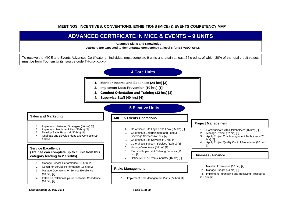#### **MEETINGS, INCENTIVES, CONVENTIONS, EXHIBITIONS (MICE) & EVENTS COMPETENCY MAP**

## **'ADVANCED CERTIFICATE IN MICE & EVENTS – 9 UNITS**

 **Assumed Skills and Knowledge**

**Learners are expected to demonstrate competency at level 6 for ES WSQ WPLN**

To receive the MICE and Events Advanced Certificate, an individual must complete 9 units and attain at least 24 credits, of which 80% of the total credit values must be from Tourism Units, source code TH-xxx-xxxx-x

### **4 Core Units**

- **1. Monitor Income and Expenses (24 hrs) [3]**
- **2. Implement Loss Prevention (10 hrs) [1]**
- **3. Conduct Orientation and Training (32 hrs) [3]**

**MICE & Events Operations** 

**4. Supervise Staff (40 hrs) [4]**

### **5 Elective Units**

#### **Sales and Marketing**

- 1. Implement Marketing Strategies (40 hrs) [4]
- 2. Implement Media Activities (20 hrs) [2]
- 3. Develop Sales Proposal (40 hrs) [4]
- 4. Originate and Develop Ideas and Concepts (24 hrs $)$  [3]

#### **Service Excellence**

**(Trainee can complete up to 1 unit from this category leading to 2 credits)**

- 1. Manage Service Performance (16 hrs) [2]
- 2. Coach for Service Performance (16 hrs) [2]
- 3. Manage Operations for Service Excellence (16 hrs) [2]
- 4. Establish Relationships for Customer Confidence (16 hrs) [2]

#### 1. Co-ordinate Site Layout and Look (25 hrs) [3]

- 2. Co-ordinate Entertainment and Food & Beverage Services (40 hrs) [4]
- 3. Co-ordinate Site Services (40 hrs) [4]
- 4. Co-ordinate Support Services (32 hrs) [3]
- 5. Manage Volunteers (16 hrs) [2]
- 6. Plan and Implement Catering Services (16 hrs) [2]
- 7. Define MICE & Events Industry (16 hrs) [2]

#### **Risks Management**

1. Implement Risk Management Plans (24 hrs) [3]

#### **Project Management**

- 1. Communicate with Stakeholders (16 hrs) [2]
- 2. Manage Project (32 hrs) [3]
- 3. Apply Project Cost Management Techniques (20 hrs) [2]
- 4. Apply Project Quality Control Procedures (20 hrs) [2]

#### **Business / Finance**

- 1. Maintain Inventories (16 hrs) [2]
- 2. Manage Budget (24 hrs) [3]
- 3. Implement Purchasing and Receiving Procedures (16 hrs) [2]
-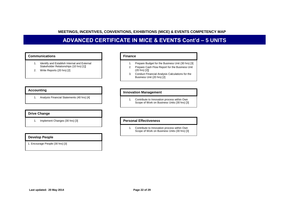### **MEETINGS, INCENTIVES, CONVENTIONS, EXHIBITIONS (MICE) & EVENTS COMPETENCY MAP**

## **ADVANCED CERTIFICATE IN MICE & EVENTS Cont'd – 5 UNITS**

#### **Communications**

- 1. Identify and Establish Internal and External Stakeholder Relationships (10 hrs) [1]]
- 2. Write Reports (20 hrs) [2]

#### **Accounting**

1. Analysis Financial Statements (40 hrs) [4]

#### **Drive Change**

1. Implement Changes (30 hrs) [3]

#### **Develop People**

1. Encourage People (30 hrs) [3]

#### **Finance**

- 1. Prepare Budget for the Business Unit (30 hrs) [3]
- 2. Prepare Cash Flow Report for the Business Unit (20 hrs) [2]]
- 3. Conduct Financial Analysis Calculations for the Business Unit (20 hrs) [2]

#### **Innovation Management**

1. Contribute to Innovation process within Own Scope of Work on Business Units (30 hrs) [3]

#### **Personal Effectiveness**

1. Contribute to Innovation process within Own Scope of Work on Business Units (30 hrs) [3]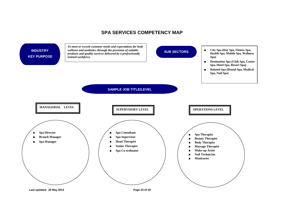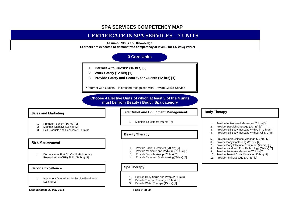## **CERTIFICATE IN SPA SERVICES – 7 UNITS**

#### **Assumed Skills and Knowledge**

**Learners are expected to demonstrate competency at level 3 for ES WSQ WPLN**

## **3 Core Units**

- **1. Interact with Guests\* (16 hrs) [2]**
- **2. Work Safely (12 hrs) [1]**
- **3. Provide Safety and Security for Guests (12 hrs) [1]**

**\*** Interact with Guests – is crossed recognised with Provide GEMs Service

**Choose 4 Elective Units of which at least 3 of the 4 units must be from Beauty / Body / Spa category**

#### **Sales and Marketing**

- 1. Promote Tourism (16 hrs) [2]<br>2. Maintain Displays (16 hrs) [2]
- 2. Maintain Displays (16 hrs) [2]
- 3. Sell Products and Services (16 hrs) [2]

#### **Risk Management**

1. Demonstrate First Aid/Cardio-Pulmonary Resuscitation (CPR) Skills (24 hrs) [3]

#### **Service Excellence**

1. Implement Operations for Service Excellence (16 hrs) [2]

#### **Site/Outlet and Equipment Management**

1. Maintain Equipment (40 hrs) [4]

#### **Beauty Therapy**

- 1. Provide Facial Treatment (70 hrs) [7]<br>2. Provide Manicure and Pedicure (70 h
- Provide Manicure and Pedicure (70 hrs) [7]
- 3. Provide Basic Make-up (20 hrs) [2]
- 4. Provide Face and Body Waxing(30 hrs) [3]

#### **Spa Therapy**

- 1. Provide Body Scrub and Wrap (25 hrs) [3]
- 2. Provide Thermal Therapy (10 hrs) [1]
- 3. Provide Water Therapy (15 hrs) [2]

**Body Therapy** 

- 1. Provide Indian Head Massage (25 hrs) [3]<br>2. Provide Swedish Massage (70 hrs) [7] Provide Swedish Massage (70 hrs) [71
- 3. Provide Full-Body Massage With Oil (70 hrs) [7]
- 4. Provide Full-Body Massage Without Oil (70 hrs) [7]
- 5. Provide Basic Chinese Massage (70 hrs) [7]
- 6. Provide Body Contouring (20 hrs) [2]
- 7. Provide Body Electrical Treatment (25 hrs) [3]
- 8. Provide Hand and Foot Reflexology (60 hrs) [6]<br>9. Provide Javanese Massage (70 hrs) [7]
- Provide Javanese Massage (70 hrs) [7]
- 10. Provide Seated Chair Massage (40 hrs) [4]
- 11. Provide Thai Massage (70 hrs) [7]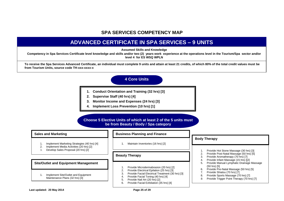## **ADVANCED CERTIFICATE IN SPA SERVICES – 9 UNITS**

**Assumed Skills and Knowledge**

**Competency in Spa Services Certificate level knowledge and skills and/or two (2) years work experience at the operations level in the Tourism/Spa sector and/or level 4 for ES WSQ WPLN**

**To receive the Spa Services Advanced Certificate, an individual must complete 9 units and attain at least 21 credits, of which 80% of the total credit values must be from Tourism Units, source code TH-xxx-xxxx-x**

### **4 Core Units**

- **1. Conduct Orientation and Training (32 hrs) [3]**
- **2. Supervise Staff (40 hrs) [4]**
- **3. Monitor Income and Expenses (24 hrs) [3]**
- **4. Implement Loss Prevention (10 hrs) [1]**

#### **Choose 5 Elective Units of which at least 2 of the 5 units must be from Beauty / Body / Spa category**

#### **Sales and Marketing**

- 1. Implement Marketing Strategies (40 hrs) [4]
- 2. Implement Media Activities (20 hrs) [2]
- 3. Develop Sales Proposal (20 hrs) [2]

#### **Site/Outlet and Equipment Management**

1. Implement Site/Outlet and Equipment Maintenance Plans (32 hrs) [3]

#### **Business Planning and Finance**

1. Maintain Inventories (16 hrs) [2]

#### **Beauty Therapy**

- 1. Provide Microdermabrasion (20 hrs) [2]
- 2. Provide Electrical Epilation (25 hrs) [3]
- 3. Provide Facial Electrical Treatment (30 hrs) [3]
- 4. Provide Facial Toning (40 hrs) [4]
- 5. Provide Nail Art (20 hrs) [2]
- 6. Provide Facial Exfoliation (35 hrs) [4]

#### **Body Therapy**

- 1. Provide Hot Stone Massage (30 hrs) [3]
- Provide Post-Natal Massage (50 hrs) [5]
- 3. Provide Aromatherapy (70 hrs) [7]
- 4. Provide Infant Massage (15 hrs) [[2]
- 5. Provide Manual Lymphatic Drainage Massage (50 hrs) [5]
- 6. Provide Pre-Natal Massage (50 hrs) [5]
- 7. Provide Shiatsu (70 hrs) [7]<br>8. Provide Sports Massage (70
- Provide Sports Massage (70 hrs) [7]
- *9.* Provide Trigger Point Therapy (70 hrs) [7]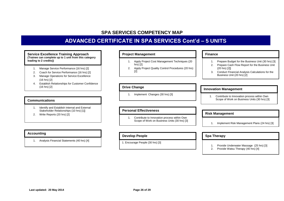## **ADVANCED CERTIFICATE IN SPA SERVICES Cont'd – 5 UNITS**

**Service Excellence Training Approach (Trainee can complete up to 1 unit from this category leading to 2 credits))**

- 1. Manage Service Performance (16 hrs) [2]
- 2. Coach for Service Performance (16 hrs) [2]
- 3. Manage Operations for Service Excellence (16 hrs) [2]
- 4. Establish Relationships for Customer Confidence (16 hrs) [2]

#### **Communications**

- 1. Identify and Establish Internal and External Stakeholder Relationships (10 hrs) [1]]
- 2. Write Reports (20 hrs) [2]

#### **Accounting**

1. Analysis Financial Statements (40 hrs) [4]

#### **Project Management**

- 1. Apply Project Cost Management Techniques (20 hrs) [2]
- 2. Apply Project Quality Control Procedures (20 hrs) [2]

#### **Drive Change**

1. Implement Changes (30 hrs) [3]

#### **Personal Effectiveness**

1. Contribute to Innovation process within Own Scope of Work on Business Units (30 hrs) [3]

#### **Develop People**

1. Encourage People (30 hrs) [3]

#### **Finance**

- 1. Prepare Budget for the Business Unit (30 hrs) [3]
- 2. Prepare Cash Flow Report for the Business Unit (20 hrs) [2]]
- 3. Conduct Financial Analysis Calculations for the Business Unit (20 hrs) [2]

#### **Innovation Management**

1. Contribute to Innovation process within Own Scope of Work on Business Units (30 hrs) [3]

#### **Risk Management**

1. Implement Risk Management Plans (24 hrs) [3]

#### **Spa Therapy**

- 1. Provide Underwater Massage (25 hrs) [3]<br>2. Provide Watsu Therapy (40 hrs) [4]
- Provide Watsu Therapy (40 hrs) [4]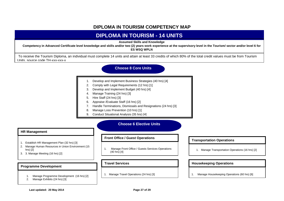## **DIPLOMA IN TOURISM COMPETENCY MAP**

## **DIPLOMA IN TOURISM - 14 UNITS**

**Assumed Skills and Knowledge**

**Competency in Advanced Certificate level knowledge and skills and/or two (2) years work experience at the supervisory level in the Tourism/ sector and/or level 6 for ES WSQ WPLN**

To receive the Tourism Diploma, an individual must complete 14 units and attain at least 33 credits of which 80% of the total credit values must be from Tourism Units, source code TH-xxx-xxx-x

### **Choose 8 Core Units**

- 1. Develop and Implement Business Strategies (40 hrs) [4]
- 2. Comply with Legal Requirements (12 hrs) [1]
- 3. Develop and Implement Budget (40 hrs) [4]
- 4. Manage Training (24 hrs) [3]
- 5. Hire Staff (24 hrs) [3]
- 6. Appraise /Evaluate Staff (16 hrs) [2]
- 7. Handle Terminations, Dismissals and Resignations (24 hrs) [3]
- 8. Manage Loss Prevention (10 hrs) [1]
- 9. Conduct Situational Analysis (35 hrs) [4]

#### **Choose 6 Elective Units**

#### **HR Management**

- 1. Establish HR Management Plan (32 hrs) [3]
- 2. Manage Human Resources in Union Environment (15 hrs) [2]
- 3. 3. Manage Meeting (16 hrs) [2]

#### **Programme Development**

- 1. Manage Programme Development (16 hrs) [2]
- 2. Manage Exhibits (24 hrs) [3]

#### **Front Office / Guest Operations**

1. Manage Front Office / Guests Services Operations (40 hrs) [4]

#### **Travel Services**

1. Manage Travel Operations (24 hrs) [3]

#### **Transportation Operations**

1. Manage Transportation Operations (16 hrs) [2]

#### **Housekeeping Operations**

1. Manage Housekeeping Operations (60 hrs) [6]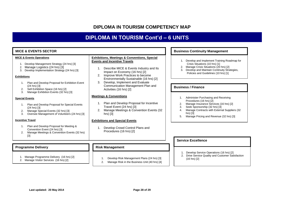## **DIPLOMA IN TOURISM COMPETENCY MAP**

## **DIPLOMA IN TOURISM Cont'd – 6 UNITS**

| <b>MICE &amp; EVENTS SECTOR</b>                                                                                                                                                                                                                | <b>Business Continuity Management</b>                                                                                                                                                                                                                                                                      |                                                                                                                                                                                                                                                                       |
|------------------------------------------------------------------------------------------------------------------------------------------------------------------------------------------------------------------------------------------------|------------------------------------------------------------------------------------------------------------------------------------------------------------------------------------------------------------------------------------------------------------------------------------------------------------|-----------------------------------------------------------------------------------------------------------------------------------------------------------------------------------------------------------------------------------------------------------------------|
| <b>MICE &amp; Events Operations</b><br>Develop Management Strategy (24 hrs) [3]<br>Manage Logistics (24 hrs) [3]<br>Develop Implementation Strategy (24 hrs) [3]<br>3.<br><b>Exhibitions</b><br>Plan and Develop Proposal for Exhibition Event | <b>Exhibitions, Meetings &amp; Conventions, Special</b><br><b>Events and Incentive Travels</b><br>Describe MICE & Events Industry and Its<br>Impact on Economy (16 hrs) [2]<br>Improve Work Practices to become<br>2.<br>Environmentally Sustainable (16 hrs) [2]<br>Develop, Implement and Evaluate<br>3. | Develop and Implement Training Roadmap for<br>Crisis Situations (10 hrs) [1]<br>Manage Crisis Situations (20 hrs) [2]<br>Develop and Maintain Continuity Strategies,<br>Policies and Guidelines (10 hrs) [1]                                                          |
| $(24 hrs)$ [3]<br>Sell Exhibition Space (16 hrs) [2]<br>2.<br>3.<br>Manage Exhibition Events (32 hrs) [3]                                                                                                                                      | Communication Management Plan and<br>Activities (16 hrs) [2]                                                                                                                                                                                                                                               | <b>Business / Finance</b>                                                                                                                                                                                                                                             |
| <b>Special Events</b><br>Plan and Develop Proposal for Special Events<br>$(24 hrs)$ [3]<br>Manage Special Events (32 hrs) [3]<br>3.<br>Oversee Management of Volunteers (24 hrs) [3]<br><b>Incentive Travel</b>                                | <b>Meetings &amp; Conventions</b><br>Plan and Develop Proposal for Incentive<br>Travel Event (24 hrs) [3]<br>Manage Meetings & Convention Events (32<br>hrs) [3]<br><b>Exhibitions and Special Events</b>                                                                                                  | Administer Purchasing and Receiving<br>Procedures (16 hrs) [2]<br>Manage Insurance Services (16 hrs) [2]<br>Seek Sponsorship (32 hrs) [3]<br>3.<br>Manage Contracts with External Suppliers (32<br>4.<br>hrs $)$ [3]<br>Manage Pricing and Revenue (32 hrs) [3]<br>5. |
| Plan and Develop Proposal for Meeting &<br>1.<br>Convention Event (24 hrs) [3]<br>Manage Meetings & Convention Events (32 hrs)<br>$[3]$                                                                                                        | Develop Crowd Control Plans and<br>Procedures (16 hrs) [2]                                                                                                                                                                                                                                                 | <b>Service Excellence</b>                                                                                                                                                                                                                                             |
| <b>Programme Delivery</b>                                                                                                                                                                                                                      | <b>Risk Management</b>                                                                                                                                                                                                                                                                                     |                                                                                                                                                                                                                                                                       |

- 1. Manage Programme Delivery (16 hrs) [2]
- 2. Manage Visitor Services (16 hrs) [2]
- 1. Develop Risk Management Plans (24 hrs) [3]
- 2. Manage Risk in the Business Unit (40 hrs) [4]
- 1. Develop Service Operations (16 hrs) [2]
- 2. Drive Service Quality and Customer Satisfaction (16 hrs) [2]